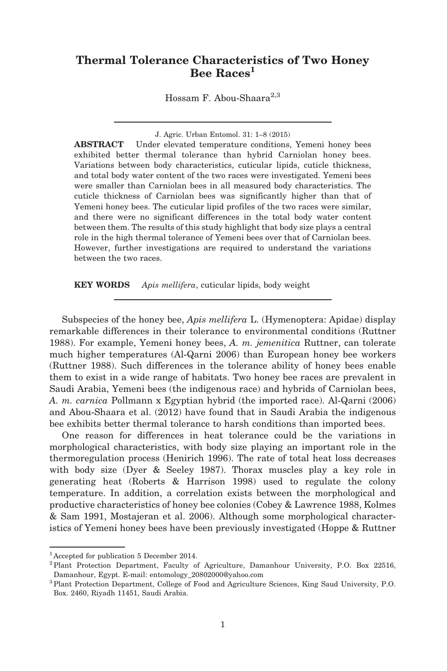# Thermal Tolerance Characteristics of Two Honey Bee Races<sup>1</sup>

Hossam F. Abou-Shaara $^{2,3}$ 

J. Agric. Urban Entomol. 31: 1–8 (2015)

ABSTRACT Under elevated temperature conditions, Yemeni honey bees exhibited better thermal tolerance than hybrid Carniolan honey bees. Variations between body characteristics, cuticular lipids, cuticle thickness, and total body water content of the two races were investigated. Yemeni bees were smaller than Carniolan bees in all measured body characteristics. The cuticle thickness of Carniolan bees was significantly higher than that of Yemeni honey bees. The cuticular lipid profiles of the two races were similar, and there were no significant differences in the total body water content between them. The results of this study highlight that body size plays a central role in the high thermal tolerance of Yemeni bees over that of Carniolan bees. However, further investigations are required to understand the variations between the two races.

KEY WORDS Apis mellifera, cuticular lipids, body weight

Subspecies of the honey bee, Apis mellifera L. (Hymenoptera: Apidae) display remarkable differences in their tolerance to environmental conditions (Ruttner 1988). For example, Yemeni honey bees, A. m. jemenitica Ruttner, can tolerate much higher temperatures (Al-Qarni 2006) than European honey bee workers (Ruttner 1988). Such differences in the tolerance ability of honey bees enable them to exist in a wide range of habitats. Two honey bee races are prevalent in Saudi Arabia, Yemeni bees (the indigenous race) and hybrids of Carniolan bees, A. m. carnica Pollmann x Egyptian hybrid (the imported race). Al-Qarni (2006) and Abou-Shaara et al. (2012) have found that in Saudi Arabia the indigenous bee exhibits better thermal tolerance to harsh conditions than imported bees.

One reason for differences in heat tolerance could be the variations in morphological characteristics, with body size playing an important role in the thermoregulation process (Henirich 1996). The rate of total heat loss decreases with body size (Dyer & Seeley 1987). Thorax muscles play a key role in generating heat (Roberts & Harrison 1998) used to regulate the colony temperature. In addition, a correlation exists between the morphological and productive characteristics of honey bee colonies (Cobey & Lawrence 1988, Kolmes & Sam 1991, Mostajeran et al. 2006). Although some morphological characteristics of Yemeni honey bees have been previously investigated (Hoppe & Ruttner

<sup>1</sup>Accepted for publication 5 December 2014.

<sup>&</sup>lt;sup>2</sup> Plant Protection Department, Faculty of Agriculture, Damanhour University, P.O. Box 22516, Damanhour, Egypt. E-mail: entomology\_20802000@yahoo.com

<sup>3</sup>Plant Protection Department, College of Food and Agriculture Sciences, King Saud University, P.O. Box. 2460, Riyadh 11451, Saudi Arabia.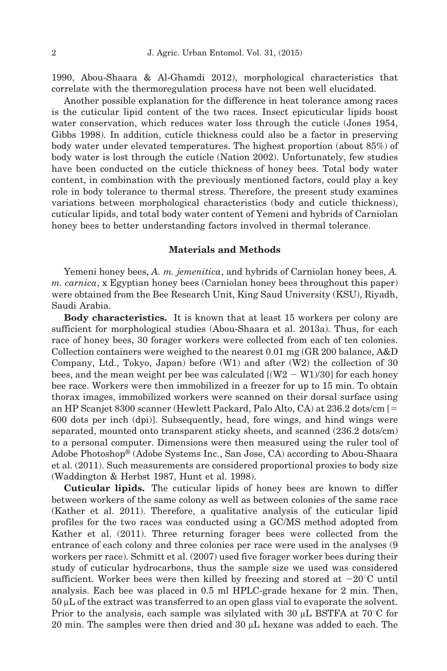1990, Abou-Shaara & Al-Ghamdi 2012), morphological characteristics that correlate with the thermoregulation process have not been well elucidated.

Another possible explanation for the difference in heat tolerance among races is the cuticular lipid content of the two races. Insect epicuticular lipids boost water conservation, which reduces water loss through the cuticle (Jones 1954, Gibbs 1998). In addition, cuticle thickness could also be a factor in preserving body water under elevated temperatures. The highest proportion (about 85%) of body water is lost through the cuticle (Nation 2002). Unfortunately, few studies have been conducted on the cuticle thickness of honey bees. Total body water content, in combination with the previously mentioned factors, could play a key role in body tolerance to thermal stress. Therefore, the present study examines variations between morphological characteristics (body and cuticle thickness), cuticular lipids, and total body water content of Yemeni and hybrids of Carniolan honey bees to better understanding factors involved in thermal tolerance.

### Materials and Methods

Yemeni honey bees, A. m. jemenitica, and hybrids of Carniolan honey bees, A. m. carnica, x Egyptian honey bees (Carniolan honey bees throughout this paper) were obtained from the Bee Research Unit, King Saud University (KSU), Riyadh, Saudi Arabia.

Body characteristics. It is known that at least 15 workers per colony are sufficient for morphological studies (Abou-Shaara et al. 2013a). Thus, for each race of honey bees, 30 forager workers were collected from each of ten colonies. Collection containers were weighed to the nearest 0.01 mg (GR 200 balance, A&D Company, Ltd., Tokyo, Japan) before (W1) and after (W2) the collection of 30 bees, and the mean weight per bee was calculated  $[(W2 - W1)/30]$  for each honey bee race. Workers were then immobilized in a freezer for up to 15 min. To obtain thorax images, immobilized workers were scanned on their dorsal surface using an HP Scanjet 8300 scanner (Hewlett Packard, Palo Alto, CA) at 236.2 dots/cm [5 600 dots per inch (dpi)]. Subsequently, head, fore wings, and hind wings were separated, mounted onto transparent sticky sheets, and scanned (236.2 dots/cm) to a personal computer. Dimensions were then measured using the ruler tool of Adobe Photoshop® (Adobe Systems Inc., San Jose, CA) according to Abou-Shaara et al. (2011). Such measurements are considered proportional proxies to body size (Waddington & Herbst 1987, Hunt et al. 1998).

Cuticular lipids. The cuticular lipids of honey bees are known to differ between workers of the same colony as well as between colonies of the same race (Kather et al. 2011). Therefore, a qualitative analysis of the cuticular lipid profiles for the two races was conducted using a GC/MS method adopted from Kather et al. (2011). Three returning forager bees were collected from the entrance of each colony and three colonies per race were used in the analyses (9 workers per race). Schmitt et al. (2007) used five forager worker bees during their study of cuticular hydrocarbons, thus the sample size we used was considered sufficient. Worker bees were then killed by freezing and stored at  $-20^{\circ}$ C until analysis. Each bee was placed in 0.5 ml HPLC-grade hexane for 2 min. Then,  $50 \mu L$  of the extract was transferred to an open glass vial to evaporate the solvent. Prior to the analysis, each sample was silylated with 30  $\mu$ L BSTFA at 70<sup>°</sup>C for 20 min. The samples were then dried and  $30 \mu L$  hexane was added to each. The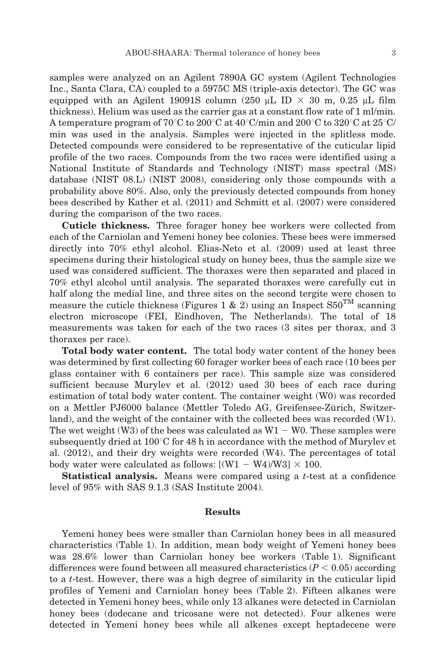samples were analyzed on an Agilent 7890A GC system (Agilent Technologies Inc., Santa Clara, CA) coupled to a 5975C MS (triple-axis detector). The GC was equipped with an Agilent 19091S column (250  $\mu$ L ID  $\times$  30 m, 0.25  $\mu$ L film thickness). Helium was used as the carrier gas at a constant flow rate of 1 ml/min. A temperature program of 70<sup>°</sup>C to 200<sup>°</sup>C at 40<sup>°</sup>C/min and 200<sup>°</sup>C to 320<sup>°</sup>C at 25<sup>°</sup>C/ min was used in the analysis. Samples were injected in the splitless mode. Detected compounds were considered to be representative of the cuticular lipid profile of the two races. Compounds from the two races were identified using a National Institute of Standards and Technology (NIST) mass spectral (MS) database (NIST 08.L) (NIST 2008), considering only those compounds with a probability above 80%. Also, only the previously detected compounds from honey bees described by Kather et al. (2011) and Schmitt et al. (2007) were considered during the comparison of the two races.

Cuticle thickness. Three forager honey bee workers were collected from each of the Carniolan and Yemeni honey bee colonies. These bees were immersed directly into 70% ethyl alcohol. Elias-Neto et al. (2009) used at least three specimens during their histological study on honey bees, thus the sample size we used was considered sufficient. The thoraxes were then separated and placed in 70% ethyl alcohol until analysis. The separated thoraxes were carefully cut in half along the medial line, and three sites on the second tergite were chosen to measure the cuticle thickness (Figures 1 & 2) using an Inspect  $S50^{TM}$  scanning electron microscope (FEI, Eindhoven, The Netherlands). The total of 18 measurements was taken for each of the two races (3 sites per thorax, and 3 thoraxes per race).

Total body water content. The total body water content of the honey bees was determined by first collecting 60 forager worker bees of each race (10 bees per glass container with 6 containers per race). This sample size was considered sufficient because Murylev et al. (2012) used 30 bees of each race during estimation of total body water content. The container weight (W0) was recorded on a Mettler PJ6000 balance (Mettler Toledo AG, Greifensee-Zürich, Switzerland), and the weight of the container with the collected bees was recorded (W1). The wet weight (W3) of the bees was calculated as  $W1 - W0$ . These samples were subsequently dried at  $100^{\circ}$ C for 48 h in accordance with the method of Murylev et al. (2012), and their dry weights were recorded (W4). The percentages of total body water were calculated as follows:  $[(W1 - W4)/W3] \times 100$ .

**Statistical analysis.** Means were compared using a  $t$ -test at a confidence level of 95% with SAS 9.1.3 (SAS Institute 2004).

#### Results

Yemeni honey bees were smaller than Carniolan honey bees in all measured characteristics (Table 1). In addition, mean body weight of Yemeni honey bees was 28.6% lower than Carniolan honey bee workers (Table 1). Significant differences were found between all measured characteristics  $(P < 0.05)$  according to a t-test. However, there was a high degree of similarity in the cuticular lipid profiles of Yemeni and Carniolan honey bees (Table 2). Fifteen alkanes were detected in Yemeni honey bees, while only 13 alkanes were detected in Carniolan honey bees (dodecane and tricosane were not detected). Four alkenes were detected in Yemeni honey bees while all alkenes except heptadecene were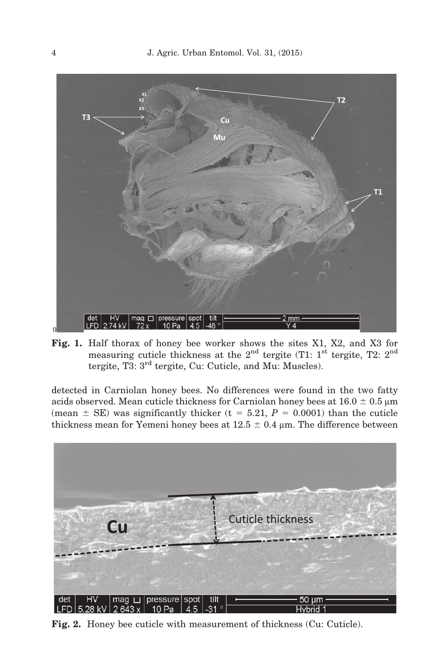

Fig. 1. Half thorax of honey bee worker shows the sites X1, X2, and X3 for measuring cuticle thickness at the  $2<sup>nd</sup>$  tergite (T1: 1<sup>st</sup> tergite, T2:  $2<sup>nd</sup>$ tergite, T3: 3rd tergite, Cu: Cuticle, and Mu: Muscles).

detected in Carniolan honey bees. No differences were found in the two fatty acids observed. Mean cuticle thickness for Carniolan honey bees at  $16.0 \pm 0.5$  µm (mean  $\pm$  SE) was significantly thicker (t = 5.21, P = 0.0001) than the cuticle thickness mean for Yemeni honey bees at  $12.5 \pm 0.4$  µm. The difference between



Fig. 2. Honey bee cuticle with measurement of thickness (Cu: Cuticle).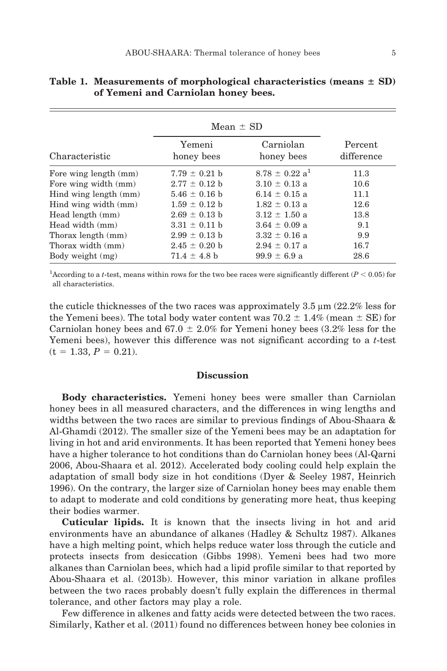|                       | Mean $\pm$ SD        |                                |                       |
|-----------------------|----------------------|--------------------------------|-----------------------|
| Characteristic        | Yemeni<br>honey bees | Carniolan<br>honey bees        | Percent<br>difference |
| Fore wing length (mm) | $7.79 \pm 0.21$ b    | $8.78 \pm 0.22$ a <sup>1</sup> | 11.3                  |
| Fore wing width (mm)  | $2.77 \pm 0.12$ b    | $3.10 \pm 0.13$ a              | 10.6                  |
| Hind wing length (mm) | $5.46 \pm 0.16$ b    | $6.14 \pm 0.15$ a              | 11.1                  |
| Hind wing width (mm)  | $1.59 \pm 0.12$ b    | $1.82 \pm 0.13$ a              | 12.6                  |
| Head length (mm)      | $2.69 \pm 0.13$ b    | $3.12 \pm 1.50$ a              | 13.8                  |
| Head width (mm)       | $3.31 \pm 0.11$ b    | $3.64 \pm 0.09$ a              | 9.1                   |
| Thorax length (mm)    | $2.99 \pm 0.13$ b    | $3.32 \pm 0.16$ a              | 9.9                   |
| Thorax width (mm)     | $2.45 \pm 0.20$ b    | $2.94 \pm 0.17$ a              | 16.7                  |
| Body weight (mg)      | $71.4 \pm 4.8$ b     | $99.9 \pm 6.9 a$               | 28.6                  |

|  | Table 1. Measurements of morphological characteristics (means $\pm$ SD) |  |  |
|--|-------------------------------------------------------------------------|--|--|
|  | of Yemeni and Carniolan honey bees.                                     |  |  |

<sup>1</sup>According to a *t*-test, means within rows for the two bee races were significantly different ( $P < 0.05$ ) for all characteristics.

the cuticle thicknesses of the two races was approximately  $3.5 \mu m$  (22.2% less for the Yemeni bees). The total body water content was  $70.2 \pm 1.4\%$  (mean  $\pm$  SE) for Carniolan honey bees and  $67.0 \pm 2.0\%$  for Yemeni honey bees (3.2% less for the Yemeni bees), however this difference was not significant according to a  $t$ -test  $(t = 1.33, P = 0.21).$ 

## **Discussion**

Body characteristics. Yemeni honey bees were smaller than Carniolan honey bees in all measured characters, and the differences in wing lengths and widths between the two races are similar to previous findings of Abou-Shaara & Al-Ghamdi (2012). The smaller size of the Yemeni bees may be an adaptation for living in hot and arid environments. It has been reported that Yemeni honey bees have a higher tolerance to hot conditions than do Carniolan honey bees (Al-Qarni 2006, Abou-Shaara et al. 2012). Accelerated body cooling could help explain the adaptation of small body size in hot conditions (Dyer & Seeley 1987, Heinrich 1996). On the contrary, the larger size of Carniolan honey bees may enable them to adapt to moderate and cold conditions by generating more heat, thus keeping their bodies warmer.

Cuticular lipids. It is known that the insects living in hot and arid environments have an abundance of alkanes (Hadley & Schultz 1987). Alkanes have a high melting point, which helps reduce water loss through the cuticle and protects insects from desiccation (Gibbs 1998). Yemeni bees had two more alkanes than Carniolan bees, which had a lipid profile similar to that reported by Abou-Shaara et al. (2013b). However, this minor variation in alkane profiles between the two races probably doesn't fully explain the differences in thermal tolerance, and other factors may play a role.

Few difference in alkenes and fatty acids were detected between the two races. Similarly, Kather et al. (2011) found no differences between honey bee colonies in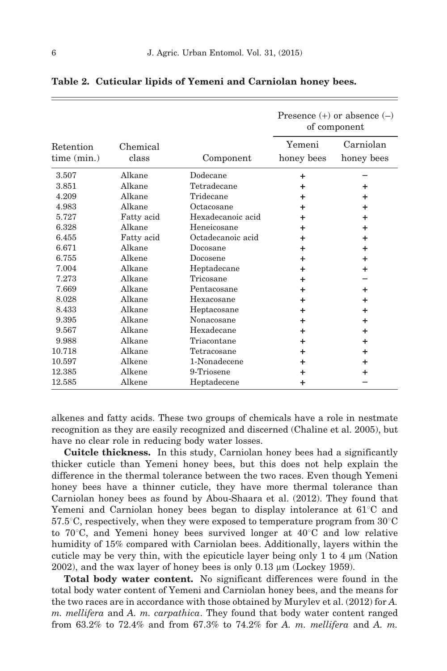|             |            |                   | Presence $(+)$ or absence $(-)$<br>of component |            |
|-------------|------------|-------------------|-------------------------------------------------|------------|
| Retention   | Chemical   |                   | Yemeni                                          | Carniolan  |
| time (min.) | class      | Component         | honey bees                                      | honey bees |
| 3.507       | Alkane     | Dodecane          | $\ddot{}$                                       |            |
| 3.851       | Alkane     | Tetradecane       | ÷                                               | +          |
| 4.209       | Alkane     | Tridecane         | ٠                                               | ٠          |
| 4.983       | Alkane     | Octacosane        | +                                               | $\ddot{}$  |
| 5.727       | Fatty acid | Hexadecanoic acid | ٠                                               | ÷          |
| 6.328       | Alkane     | Heneicosane       | ÷                                               | $\ddot{}$  |
| 6.455       | Fatty acid | Octadecanoic acid | ÷                                               | ÷          |
| 6.671       | Alkane     | Docosane          | ٠                                               | ٠          |
| 6.755       | Alkene     | Docosene          | ÷                                               | $\ddot{}$  |
| 7.004       | Alkane     | Heptadecane       | +                                               | ٠          |
| 7.273       | Alkane     | Tricosane         | ÷                                               |            |
| 7.669       | Alkane     | Pentacosane       | ÷                                               | ÷          |
| 8.028       | Alkane     | Hexacosane        | ÷                                               | ÷          |
| 8.433       | Alkane     | Heptacosane       | +                                               | ÷          |
| 9.395       | Alkane     | Nonacosane        | ÷                                               | $\ddot{}$  |
| 9.567       | Alkane     | Hexadecane        | ÷                                               | ÷          |
| 9.988       | Alkane     | Triacontane       | ÷                                               | ÷          |
| 10.718      | Alkane     | Tetracosane       | ÷                                               | ٠          |
| 10.597      | Alkene     | 1-Nonadecene      | +                                               | ٠          |
| 12.385      | Alkene     | 9-Triosene        | +                                               | ٠          |
| 12.585      | Alkene     | Heptadecene       | $\ddot{}$                                       |            |

Table 2. Cuticular lipids of Yemeni and Carniolan honey bees.

alkenes and fatty acids. These two groups of chemicals have a role in nestmate recognition as they are easily recognized and discerned (Chaline et al. 2005), but have no clear role in reducing body water losses.

Cuitcle thickness. In this study, Carniolan honey bees had a significantly thicker cuticle than Yemeni honey bees, but this does not help explain the difference in the thermal tolerance between the two races. Even though Yemeni honey bees have a thinner cuticle, they have more thermal tolerance than Carniolan honey bees as found by Abou-Shaara et al. (2012). They found that Yemeni and Carniolan honey bees began to display intolerance at  $61^{\circ}$ C and  $57.5^{\circ}$ C, respectively, when they were exposed to temperature program from  $30^{\circ}$ C to  $70^{\circ}$ C, and Yemeni honey bees survived longer at  $40^{\circ}$ C and low relative humidity of 15% compared with Carniolan bees. Additionally, layers within the cuticle may be very thin, with the epicuticle layer being only  $1$  to  $4 \mu$ m (Nation  $2002$ ), and the wax layer of honey bees is only  $0.13 \mu m$  (Lockey 1959).

Total body water content. No significant differences were found in the total body water content of Yemeni and Carniolan honey bees, and the means for the two races are in accordance with those obtained by Murylev et al. (2012) for A. m. mellifera and A. m. carpathica. They found that body water content ranged from 63.2% to 72.4% and from 67.3% to 74.2% for A. m. mellifera and A. m.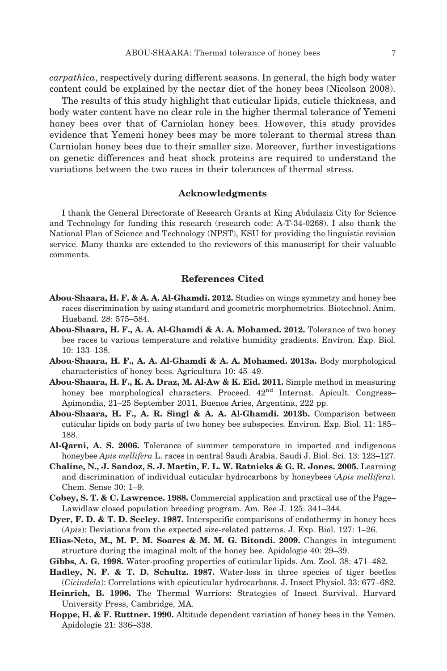The results of this study highlight that cuticular lipids, cuticle thickness, and body water content have no clear role in the higher thermal tolerance of Yemeni honey bees over that of Carniolan honey bees. However, this study provides evidence that Yemeni honey bees may be more tolerant to thermal stress than Carniolan honey bees due to their smaller size. Moreover, further investigations on genetic differences and heat shock proteins are required to understand the variations between the two races in their tolerances of thermal stress.

#### Acknowledgments

I thank the General Directorate of Research Grants at King Abdulaziz City for Science and Technology for funding this research (research code: A-T-34-0268). I also thank the National Plan of Science and Technology (NPST), KSU for providing the linguistic revision service. Many thanks are extended to the reviewers of this manuscript for their valuable comments.

# References Cited

- Abou-Shaara, H. F. & A. A. Al-Ghamdi. 2012. Studies on wings symmetry and honey bee races discrimination by using standard and geometric morphometrics. Biotechnol. Anim. Husband. 28: 575–584.
- Abou-Shaara, H. F., A. A. Al-Ghamdi & A. A. Mohamed. 2012. Tolerance of two honey bee races to various temperature and relative humidity gradients. Environ. Exp. Biol. 10: 133–138.
- Abou-Shaara, H. F., A. A. Al-Ghamdi & A. A. Mohamed. 2013a. Body morphological characteristics of honey bees. Agricultura 10: 45–49.
- Abou-Shaara, H. F., K. A. Draz, M. Al-Aw & K. Eid. 2011. Simple method in measuring honey bee morphological characters. Proceed.  $42<sup>nd</sup>$  Internat. Apicult. Congress– Apimondia, 21–25 September 2011, Buenos Aries, Argentina, 222 pp.
- Abou-Shaara, H. F., A. R. Singl & A. A. Al-Ghamdi. 2013b. Comparison between cuticular lipids on body parts of two honey bee subspecies. Environ. Exp. Biol. 11: 185– 188.
- Al-Qarni, A. S. 2006. Tolerance of summer temperature in imported and indigenous honeybee Apis mellifera L. races in central Saudi Arabia. Saudi J. Biol. Sci. 13: 123–127.
- Chaline, N., J. Sandoz, S. J. Martin, F. L. W. Ratnieks & G. R. Jones. 2005. Learning and discrimination of individual cuticular hydrocarbons by honeybees (Apis mellifera). Chem. Sense 30: 1–9.
- Cobey, S. T. & C. Lawrence. 1988. Commercial application and practical use of the Page– Lawidlaw closed population breeding program. Am. Bee J. 125: 341–344.
- Dyer, F. D. & T. D. Seeley. 1987. Interspecific comparisons of endothermy in honey bees (Apis): Deviations from the expected size-related patterns. J. Exp. Biol. 127: 1–26.
- Elias-Neto, M., M. P. M. Soares & M. M. G. Bitondi. 2009. Changes in integument structure during the imaginal molt of the honey bee. Apidologie 40: 29–39.
- Gibbs, A. G. 1998. Water-proofing properties of cuticular lipids. Am. Zool. 38: 471–482.
- Hadley, N. F. & T. D. Schultz. 1987. Water-loss in three species of tiger beetles (Cicindela): Correlations with epicuticular hydrocarbons. J. Insect Physiol. 33: 677–682.
- Heinrich, B. 1996. The Thermal Warriors: Strategies of Insect Survival. Harvard University Press, Cambridge, MA.
- Hoppe, H. & F. Ruttner. 1990. Altitude dependent variation of honey bees in the Yemen. Apidologie 21: 336–338.